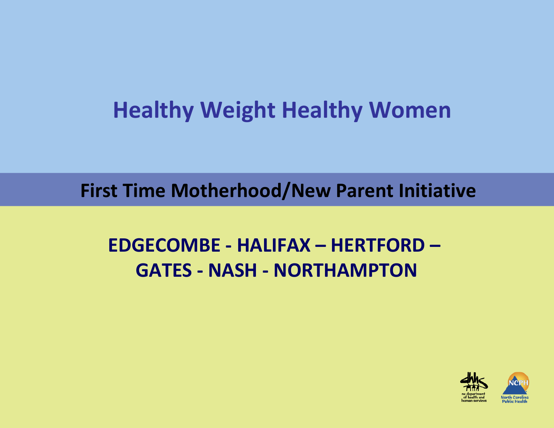### **Healthy Weight Healthy Women**

**First Time Motherhood/New Parent Initiative**

#### **EDGECOMBE ‐ HALIFAX – HERTFORD – GATES ‐ NASH ‐ NORTHAMPTON**

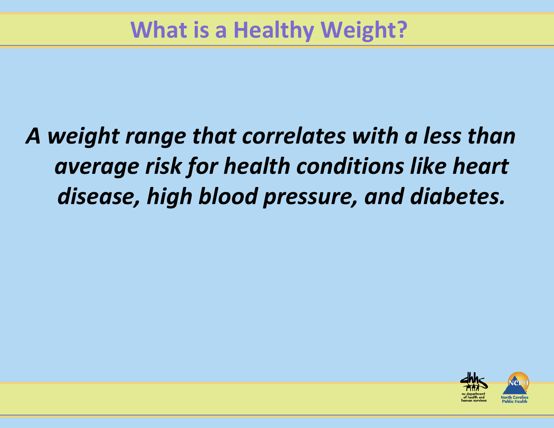# *A weight range that correlates with <sup>a</sup> less than average risk for health conditions like heart disease, high blood pressure, and diabetes.*

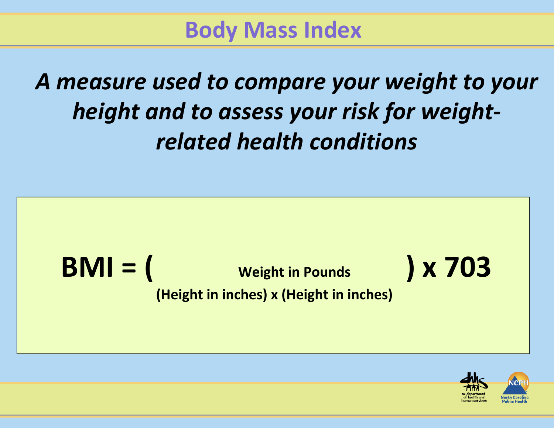**Body Mass Index**

*A measure used to compare your weight to your height and to assess your risk for weight‐ related health conditions*

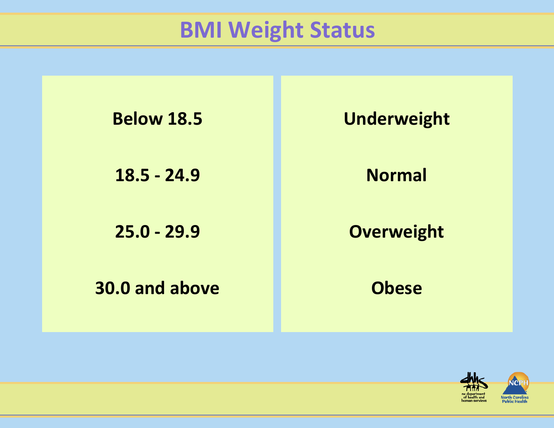### **BMI Weight Status**

| <b>Below 18.5</b> | <b>Underweight</b> |
|-------------------|--------------------|
| $18.5 - 24.9$     | <b>Normal</b>      |
| $25.0 - 29.9$     | <b>Overweight</b>  |
| 30.0 and above    | <b>Obese</b>       |

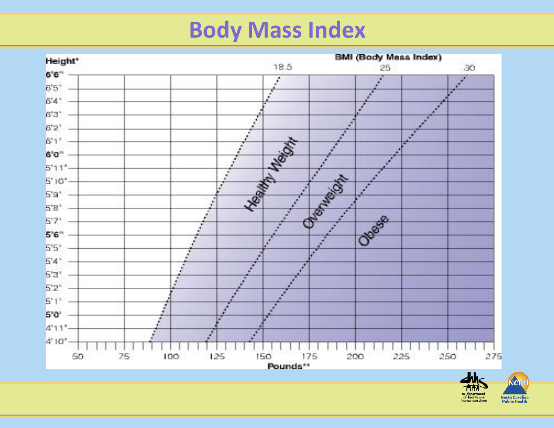# **Body Mass Index**



NCRH e department<br>of health and **North Carolina**<br>**Public Health**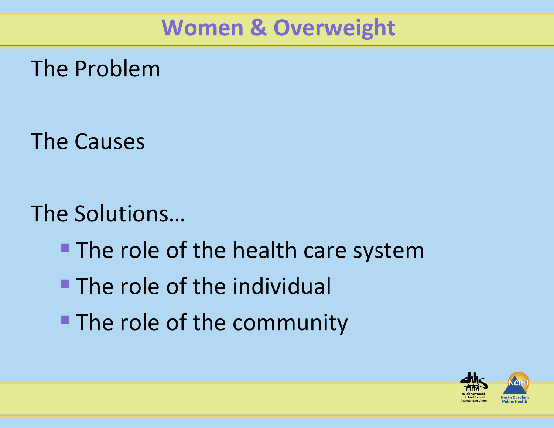### **Women & Overweight**

The Problem

The Causes

The Solutions…

- **The role of the health care system**
- **The role of the individual**
- **The role of the community**

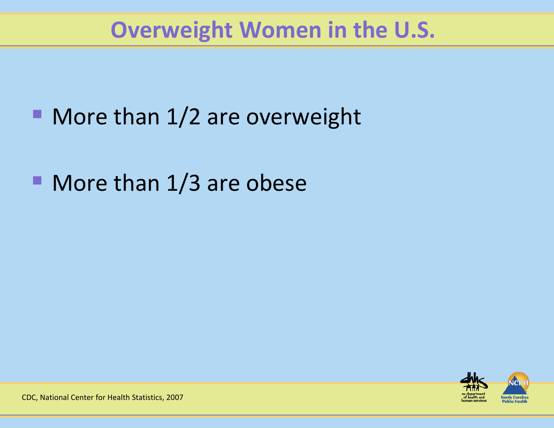### **Overweight Women in the U.S.**

- **More than 1/2 are overweight**
- More than 1/3 are obese



CDC, National Center for Health Statistics, 2007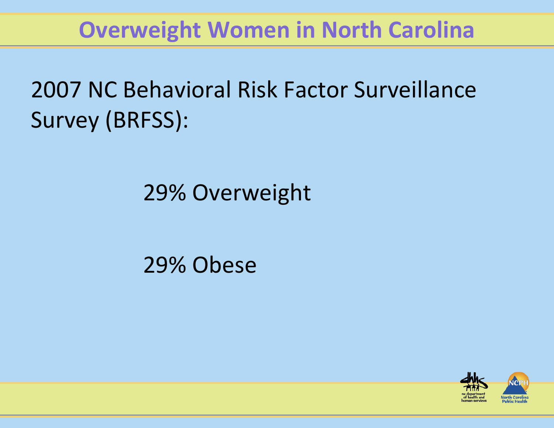### **Overweight Women in North Carolina**

# 2007 NC Behavioral Risk Factor Surveillance Survey (BRFSS):

# 29% Overweight

#### 29% Obese

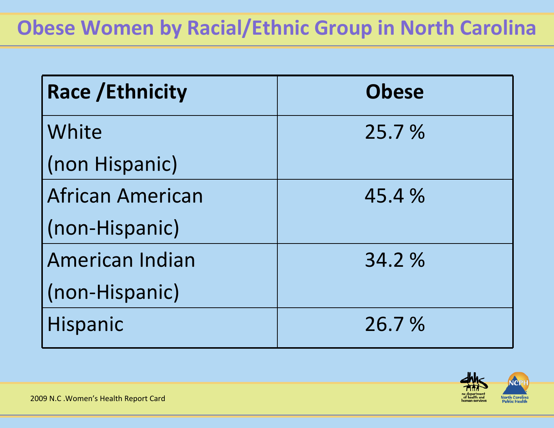#### **Obese Women by Racial/Ethnic Group in North Carolina**

| <b>Race / Ethnicity</b> | <b>Obese</b> |
|-------------------------|--------------|
| White                   | 25.7 %       |
| (non Hispanic)          |              |
| <b>African American</b> | 45.4 %       |
| (non-Hispanic)          |              |
| American Indian         | 34.2 %       |
| (non-Hispanic)          |              |
| <b>Hispanic</b>         | 26.7 %       |

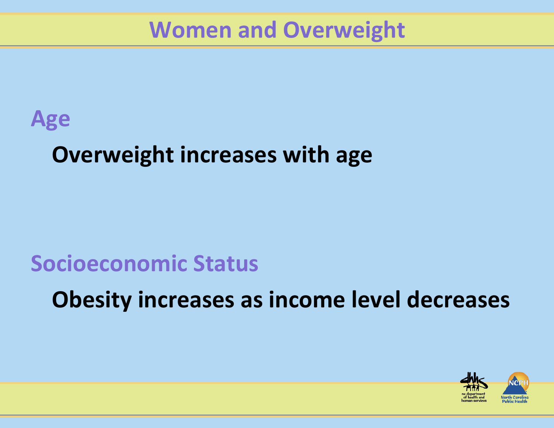### **Women and Overweight**

#### **Age**

# **Overweight increases with age**

#### **Socioeconomic Status**

**Obesity increases as income level decreases**

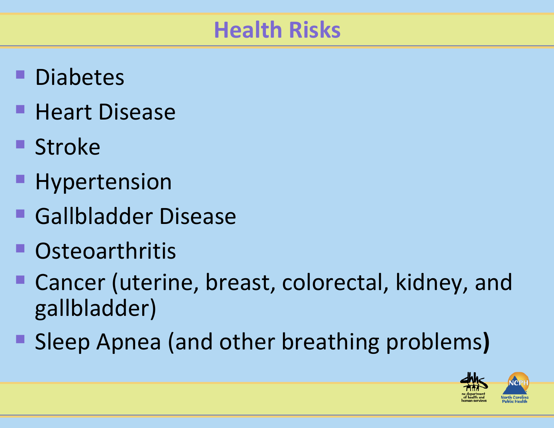### **Health Risks**

- **Diabetes**
- **Heart Disease**
- **Stroke**
- **Hypertension**
- Gallbladder Disease
- Osteoarthritis
- Cancer (uterine, breast, colorectal, kidney, and gallbladder)
- Sleep Apnea (and other breathing problems**)**

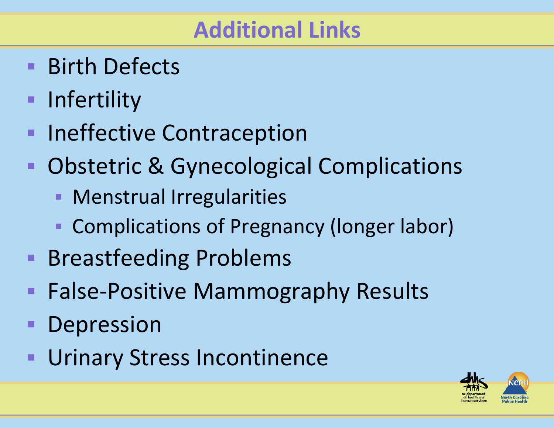### **Additional Links**

- Birth Defects
- **Infertility**
- $\qquad \qquad \blacksquare$ **Ineffective Contraception**
- $\blacksquare$ **• Obstetric & Gynecological Complications** 
	- **Menstrual Irregularities**
	- Ŧ **Examplications of Pregnancy (longer labor)**
- **Breastfeeding Problems**
- $\blacksquare$ ■ False-Positive Mammography Results
- $\blacksquare$ Depression
- Ξ Urinary Stress Incontinence

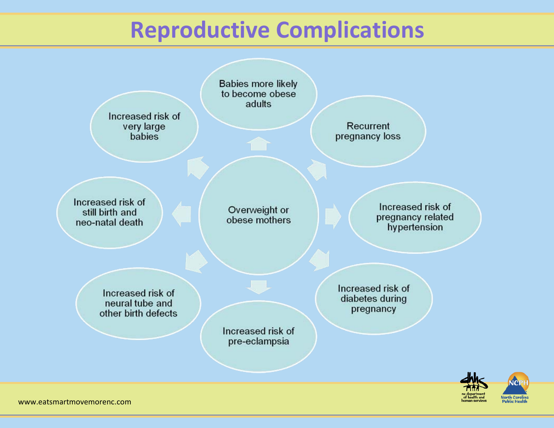### **Reproductive Complications**

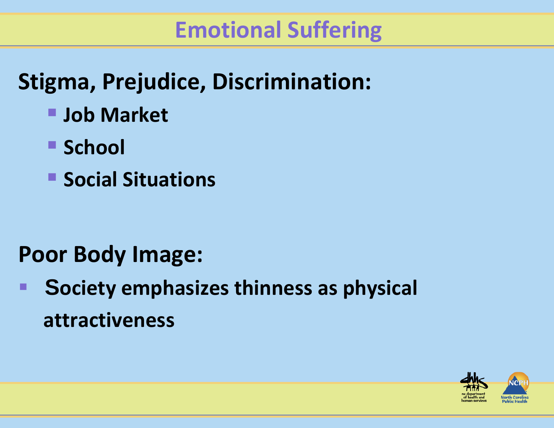### **Emotional Suffering**

# **Stigma, Prejudice, Discrimination:**

- **Job Market**
- **School**
- **E** Social Situations

# **Poor Body Image:**

e<br>Ma **Society emphasizes thinness as physical attractiveness**

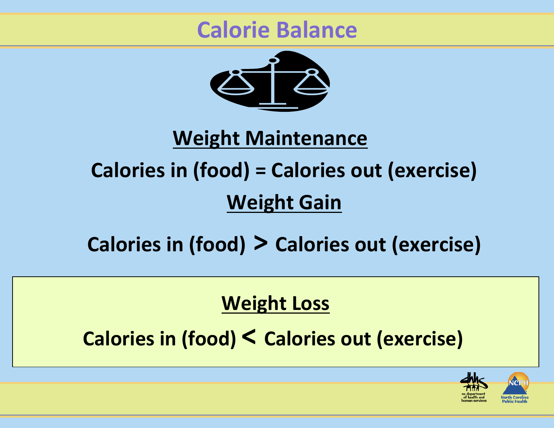#### **Calorie Balance**



#### **Weight Maintenance**

# **Calories in (food) <sup>=</sup> Calories out (exercise) Weight Gain**

### **Calories in (food) > Calories out (exercise)**

#### **Weight Loss**

**Calories in (food) < Calories out (exercise)**

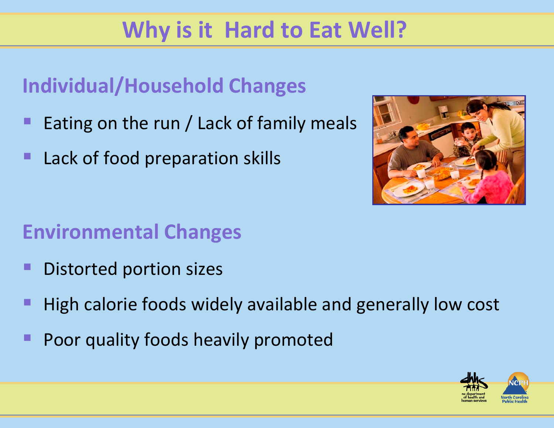# **Why is it Hard to Eat Well?**

#### **Individual/Household Changes**

- **Service Service** Eating on the run / Lack of family meals
- **Lack of food preparation skills**



#### **Environmental Changes**

- e<br>Ma **Distorted portion sizes**
- **Service Service** High calorie foods widely available and generally low cost
- Poor quality foods heavily promoted

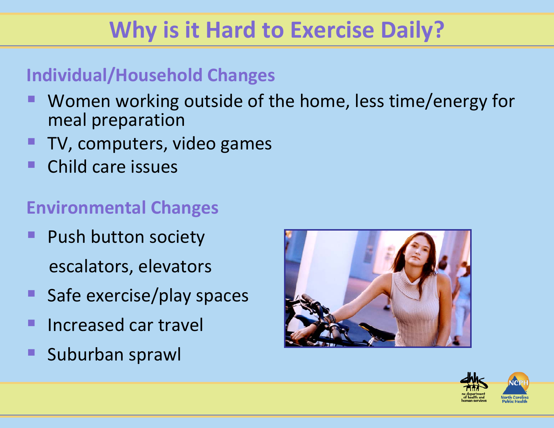# **Why is it Hard to Exercise Daily?**

#### **Individual/Household Changes**

- Women working outside of the home, less time/energy for meal preparation
- TV, computers, video games
- e<br>Ma ■ Child care issues

#### **Environmental Changes**

- $\blacksquare$ **Push button society** escalators, elevators
- ■ Safe exercise/play spaces
- **Increased car travel**
- **Suburban sprawl**



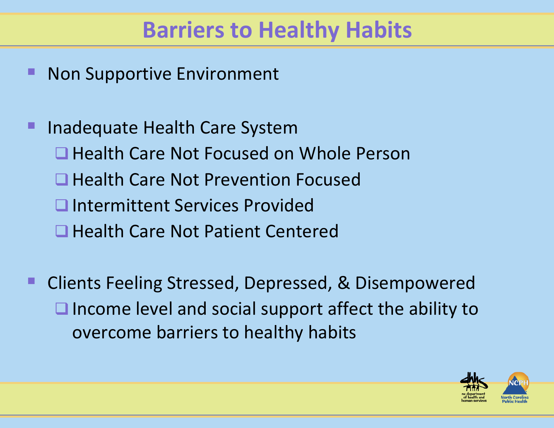### **Barriers to Healthy Habits**

**Non Supportive Environment** 

 Inadequate Health Care System **■ Health Care Not Focused on Whole Person ■ Health Care Not Prevention Focused □ Intermittent Services Provided ■ Health Care Not Patient Centered** 

 Clients Feeling Stressed, Depressed, & Disempowered  $\Box$  Income level and social support affect the ability to overcome barriers to healthy habits

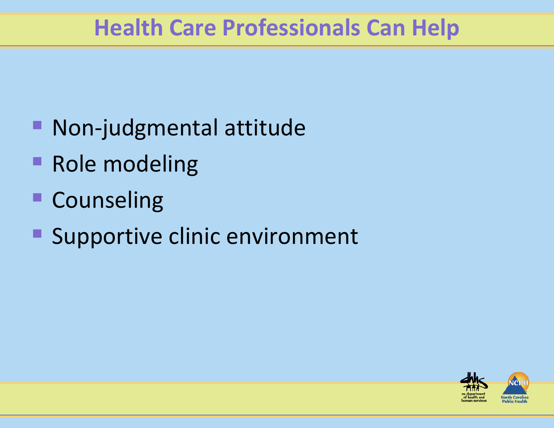### **Health Care Professionals Can Help**

- Non-judgmental attitude
- **Role modeling**
- **Counseling**
- **Supportive clinic environment**

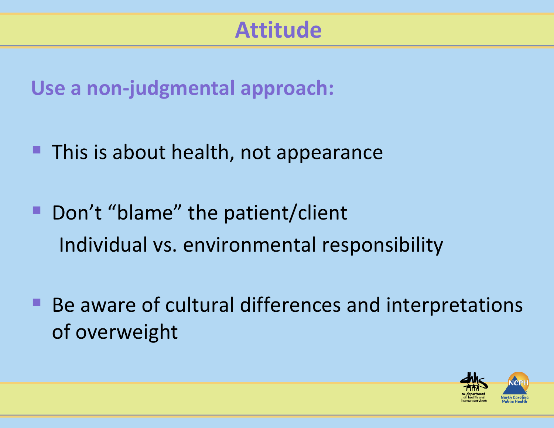### **Attitude**

**Use <sup>a</sup> non‐judgmental approach:**

- **This is about health, not appearance**
- **Don't "blame" the patient/client** Individual vs. environmental responsibility
- ■ Be aware of cultural differences and interpretations of overweight

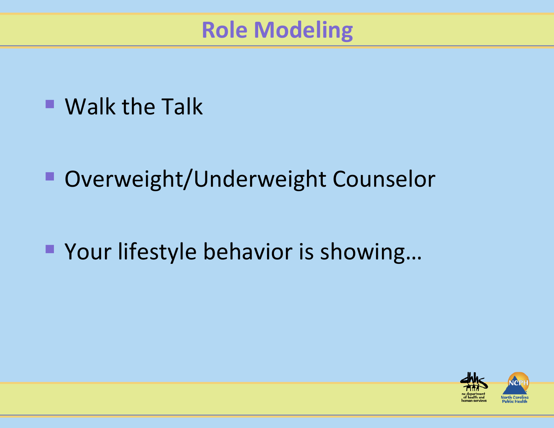### **Role Modeling**

# ■ Walk the Talk

**• Overweight/Underweight Counselor** 

■ Your lifestyle behavior is showing...

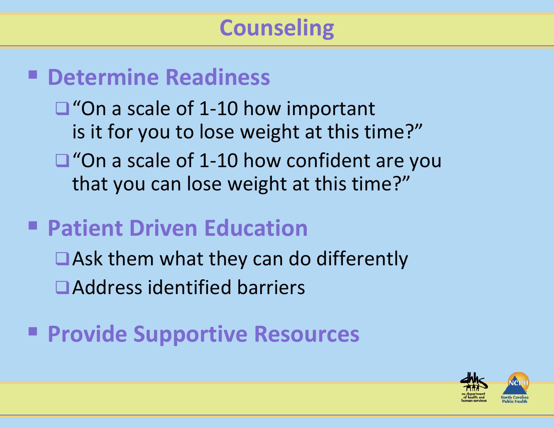#### **Determine Readiness**

■"On a scale of 1-10 how important is it for you to lose weight at this time?"

■"On a scale of 1-10 how confident are you that you can lose weight at this time?"

### **Patient Driven Education**

■Ask them what they can do differently ■Address identified barriers

# **Provide Supportive Resources**

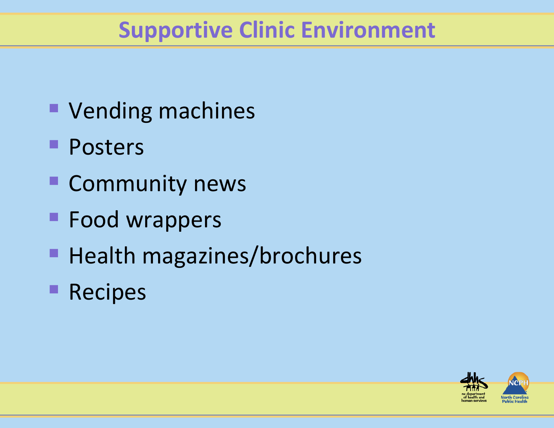### **Supportive Clinic Environment**

- Vending machines
- **Posters**
- **E** Community news
- **Food wrappers**
- **Health magazines/brochures**
- **Recipes**

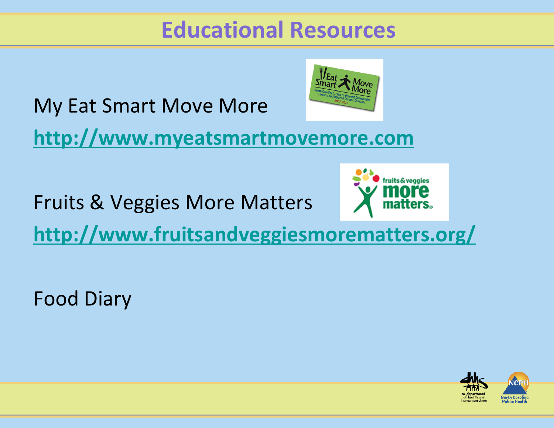### **Educational Resources**



My Eat Smart Move More

**[http://www.myeatsmartmovemore.com](http://www.myeatsmartmovemore.com/)**

Fruits & Veggies More Matters



**<http://www.fruitsandveggiesmorematters.org/>**

Food Diary

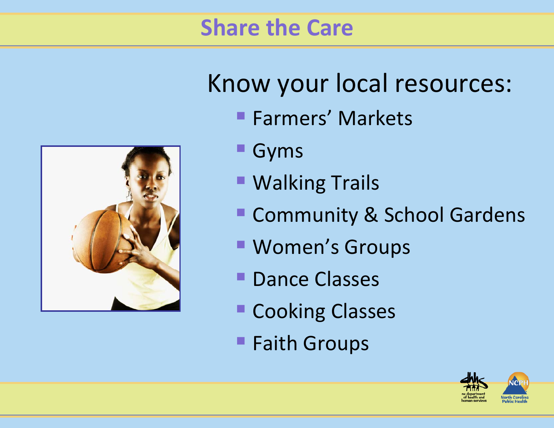### **Share the Care**



# Know your local resources:

- **Farmers' Markets**
- Gyms
- Walking Trails
- Community & School Gardens
- Women's Groups
- **Dance Classes**
- **E Cooking Classes**
- **Faith Groups**

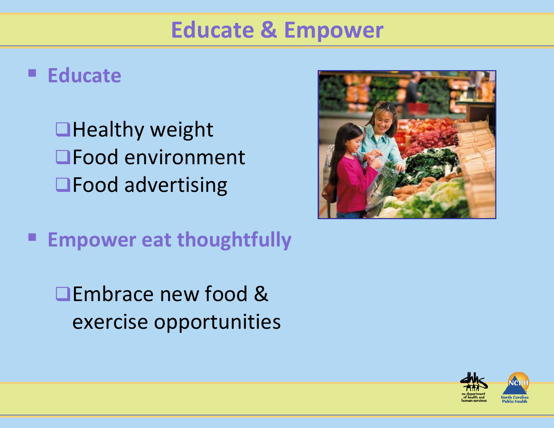### **Educate & Empower**

#### **Educate**

**Healthy weight** Food environment **□Food advertising** 

**Empower eat thoughtfully**

**■Embrace new food &** exercise opportunities



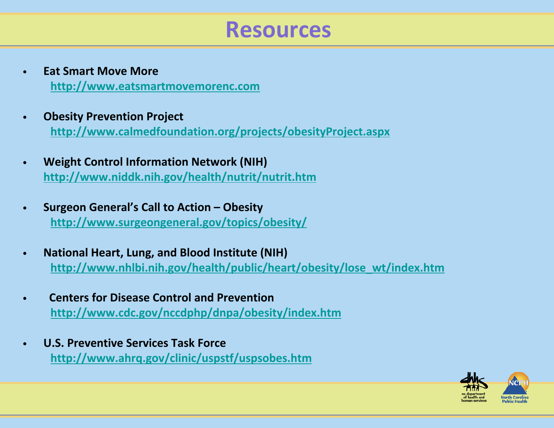#### **Resources**

- • **Eat Smart Move More [http://www.eatsmartmovemorenc.com](http://www.eatsmartmovemorenc.com/)**
- • **Obesity Prevention Project <http://www.calmedfoundation.org/projects/obesityProject.aspx>**
- • **Weight Control Information Network (NIH) <http://www.niddk.nih.gov/health/nutrit/nutrit.htm>**
- • **Surgeon General's Call to Action – Obesity <http://www.surgeongeneral.gov/topics/obesity/>**
- • **National Heart, Lung, and Blood Institute (NIH) [http://www.nhlbi.nih.gov/health/public/heart/obesity/lose\\_wt/index.htm](http://www.nhlbi.nih.gov/health/public/heart/obesity/lose_wt/index.htm)**
- • **Centers for Disease Control and Prevention <http://www.cdc.gov/nccdphp/dnpa/obesity/index.htm>**
- • **U.S. Preventive Services Task Force <http://www.ahrq.gov/clinic/uspstf/uspsobes.htm>**

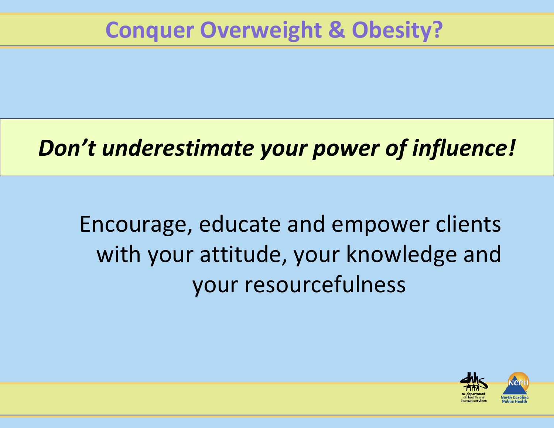# *Don't underestimate your power of influence!*

Encourage, educate and empower clients with your attitude, your knowledge and your resourcefulness